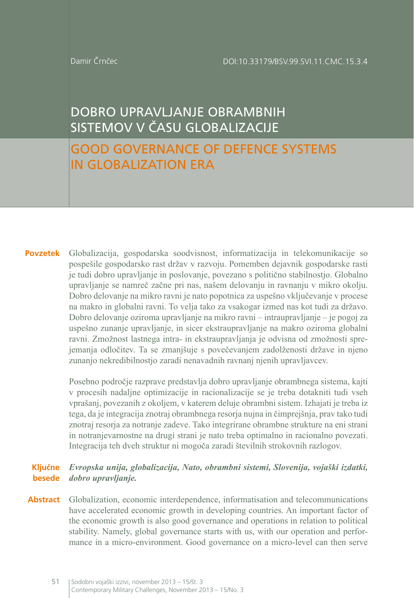Damir Črnčec

# DOBRO UPRAVLJANJE OBRAMBNIH SISTEMOV V ČASU GLOBALIZACIJE

## GOOD GOVERNANCE OF DEFENCE SYSTEMS IN GLOBALIZATION ERA

**Povzetek** Globalizacija, gospodarska soodvisnost, informatizacija in telekomunikacije so pospešile gospodarsko rast držav v razvoju. Pomemben dejavnik gospodarske rasti je tudi dobro upravljanje in poslovanje, povezano s politično stabilnostjo. Globalno upravljanje se namreč začne pri nas, našem delovanju in ravnanju v mikro okolju. Dobro delovanje na mikro ravni je nato popotnica za uspešno vključevanje v procese na makro in globalni ravni. To velja tako za vsakogar izmed nas kot tudi za državo. Dobro delovanje oziroma upravljanje na mikro ravni – intraupravljanje – je pogoj za uspešno zunanje upravljanje, in sicer ekstraupravljanje na makro oziroma globalni ravni. Zmožnost lastnega intra- in ekstraupravljanja je odvisna od zmožnosti sprejemanja odločitev. Ta se zmanjšuje s povečevanjem zadolženosti države in njeno zunanjo nekredibilnostjo zaradi nenavadnih ravnanj njenih upravljavcev.

> Posebno področje razprave predstavlja dobro upravljanje obrambnega sistema, kajti v procesih nadaljne optimizacije in racionalizacije se je treba dotakniti tudi vseh vprašanj, povezanih z okoljem, v katerem deluje obrambni sistem. Izhajati je treba iz tega, da je integracija znotraj obrambnega resorja nujna in čimprejšnja, prav tako tudi znotraj resorja za notranje zadeve. Tako integrirane obrambne strukture na eni strani in notranjevarnostne na drugi strani je nato treba optimalno in racionalno povezati. Integracija teh dveh struktur ni mogoča zaradi številnih strokovnih razlogov.

#### **Ključne besede** *dobro upravljanje. Evropska unija, globalizacija, Nato, obrambni sistemi, Slovenija, vojaški izdatki,*

Abstract Globalization, economic interdependence, informatisation and telecommunications have accelerated economic growth in developing countries. An important factor of the economic growth is also good governance and operations in relation to political stability. Namely, global governance starts with us, with our operation and performance in a micro-environment. Good governance on a micro-level can then serve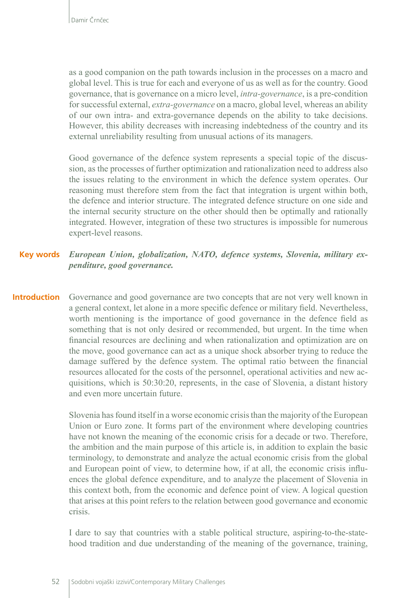as a good companion on the path towards inclusion in the processes on a macro and global level. This is true for each and everyone of us as well as for the country. Good governance, that is governance on a micro level, *intra-governance*, is a pre-condition for successful external, *extra-governance* on a macro, global level, whereas an ability of our own intra- and extra-governance depends on the ability to take decisions. However, this ability decreases with increasing indebtedness of the country and its external unreliability resulting from unusual actions of its managers.

Good governance of the defence system represents a special topic of the discussion, as the processes of further optimization and rationalization need to address also the issues relating to the environment in which the defence system operates. Our reasoning must therefore stem from the fact that integration is urgent within both, the defence and interior structure. The integrated defence structure on one side and the internal security structure on the other should then be optimally and rationally integrated. However, integration of these two structures is impossible for numerous expert-level reasons.

#### *European Union, globalization, NATO, defence systems, Slovenia, military expenditure, good governance.* **Key words**

Governance and good governance are two concepts that are not very well known in a general context, let alone in a more specific defence or military field. Nevertheless, worth mentioning is the importance of good governance in the defence field as something that is not only desired or recommended, but urgent. In the time when financial resources are declining and when rationalization and optimization are on the move, good governance can act as a unique shock absorber trying to reduce the damage suffered by the defence system. The optimal ratio between the financial resources allocated for the costs of the personnel, operational activities and new acquisitions, which is 50:30:20, represents, in the case of Slovenia, a distant history and even more uncertain future. **Introduction**

> Slovenia has found itself in a worse economic crisis than the majority of the European Union or Euro zone. It forms part of the environment where developing countries have not known the meaning of the economic crisis for a decade or two. Therefore, the ambition and the main purpose of this article is, in addition to explain the basic terminology, to demonstrate and analyze the actual economic crisis from the global and European point of view, to determine how, if at all, the economic crisis influences the global defence expenditure, and to analyze the placement of Slovenia in this context both, from the economic and defence point of view. A logical question that arises at this point refers to the relation between good governance and economic crisis.

> I dare to say that countries with a stable political structure, aspiring-to-the-statehood tradition and due understanding of the meaning of the governance, training,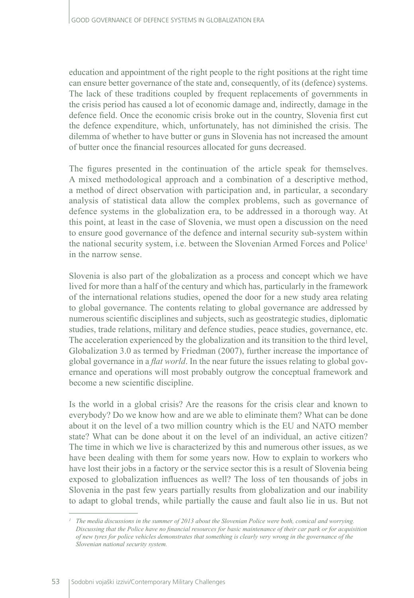education and appointment of the right people to the right positions at the right time can ensure better governance of the state and, consequently, of its (defence) systems. The lack of these traditions coupled by frequent replacements of governments in the crisis period has caused a lot of economic damage and, indirectly, damage in the defence field. Once the economic crisis broke out in the country, Slovenia first cut the defence expenditure, which, unfortunately, has not diminished the crisis. The dilemma of whether to have butter or guns in Slovenia has not increased the amount of butter once the financial resources allocated for guns decreased.

The figures presented in the continuation of the article speak for themselves. A mixed methodological approach and a combination of a descriptive method, a method of direct observation with participation and, in particular, a secondary analysis of statistical data allow the complex problems, such as governance of defence systems in the globalization era, to be addressed in a thorough way. At this point, at least in the case of Slovenia, we must open a discussion on the need to ensure good governance of the defence and internal security sub-system within the national security system, i.e. between the Slovenian Armed Forces and Police<sup>1</sup> in the narrow sense.

Slovenia is also part of the globalization as a process and concept which we have lived for more than a half of the century and which has, particularly in the framework of the international relations studies, opened the door for a new study area relating to global governance. The contents relating to global governance are addressed by numerous scientific disciplines and subjects, such as geostrategic studies, diplomatic studies, trade relations, military and defence studies, peace studies, governance, etc. The acceleration experienced by the globalization and its transition to the third level, Globalization 3.0 as termed by Friedman (2007), further increase the importance of global governance in a *flat world*. In the near future the issues relating to global governance and operations will most probably outgrow the conceptual framework and become a new scientific discipline.

Is the world in a global crisis? Are the reasons for the crisis clear and known to everybody? Do we know how and are we able to eliminate them? What can be done about it on the level of a two million country which is the EU and NATO member state? What can be done about it on the level of an individual, an active citizen? The time in which we live is characterized by this and numerous other issues, as we have been dealing with them for some years now. How to explain to workers who have lost their jobs in a factory or the service sector this is a result of Slovenia being exposed to globalization influences as well? The loss of ten thousands of jobs in Slovenia in the past few years partially results from globalization and our inability to adapt to global trends, while partially the cause and fault also lie in us. But not

*<sup>1</sup> The media discussions in the summer of 2013 about the Slovenian Police were both, comical and worrying. Discussing that the Police have no financial resources for basic maintenance of their car park or for acquisition of new tyres for police vehicles demonstrates that something is clearly very wrong in the governance of the Slovenian national security system.*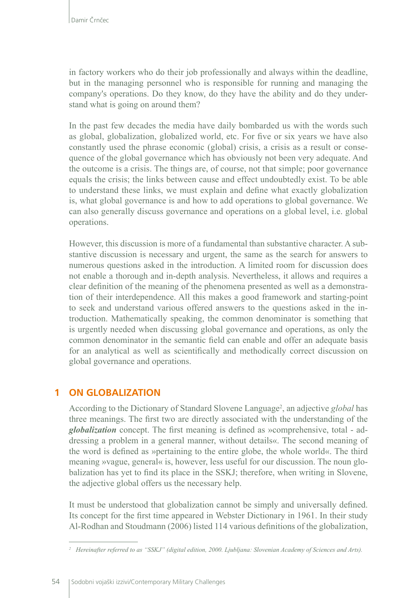in factory workers who do their job professionally and always within the deadline, but in the managing personnel who is responsible for running and managing the company's operations. Do they know, do they have the ability and do they understand what is going on around them?

In the past few decades the media have daily bombarded us with the words such as global, globalization, globalized world, etc. For five or six years we have also constantly used the phrase economic (global) crisis, a crisis as a result or consequence of the global governance which has obviously not been very adequate. And the outcome is a crisis. The things are, of course, not that simple; poor governance equals the crisis; the links between cause and effect undoubtedly exist. To be able to understand these links, we must explain and define what exactly globalization is, what global governance is and how to add operations to global governance. We can also generally discuss governance and operations on a global level, i.e. global operations.

However, this discussion is more of a fundamental than substantive character. A substantive discussion is necessary and urgent, the same as the search for answers to numerous questions asked in the introduction. A limited room for discussion does not enable a thorough and in-depth analysis. Nevertheless, it allows and requires a clear definition of the meaning of the phenomena presented as well as a demonstration of their interdependence. All this makes a good framework and starting-point to seek and understand various offered answers to the questions asked in the introduction. Mathematically speaking, the common denominator is something that is urgently needed when discussing global governance and operations, as only the common denominator in the semantic field can enable and offer an adequate basis for an analytical as well as scientifically and methodically correct discussion on global governance and operations.

## **1 ON GLOBALIZATION**

According to the Dictionary of Standard Slovene Language<sup>2</sup>, an adjective *global* has three meanings. The first two are directly associated with the understanding of the *globalization* concept. The first meaning is defined as »comprehensive, total - addressing a problem in a general manner, without details«. The second meaning of the word is defined as »pertaining to the entire globe, the whole world«. The third meaning »vague, general« is, however, less useful for our discussion. The noun globalization has yet to find its place in the SSKJ; therefore, when writing in Slovene, the adjective global offers us the necessary help.

It must be understood that globalization cannot be simply and universally defined. Its concept for the first time appeared in Webster Dictionary in 1961. In their study Al-Rodhan and Stoudmann (2006) listed 114 various definitions of the globalization,

*<sup>2</sup> Hereinafter referred to as "SSKJ" (digital edition, 2000. Ljubljana: Slovenian Academy of Sciences and Arts).*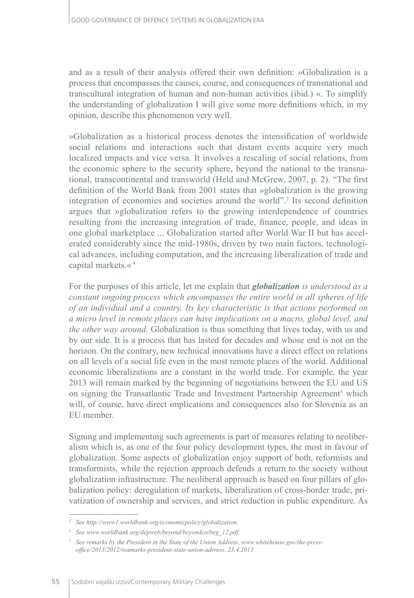and as a result of their analysis offered their own definition: »Globalization is a process that encompasses the causes, course, and consequences of transnational and transcultural integration of human and non-human activities (ibid.) «. To simplify the understanding of globalization I will give some more definitions which, in my opinion, describe this phenomenon very well.

»Globalization as a historical process denotes the intensification of worldwide social relations and interactions such that distant events acquire very much localized impacts and vice versa. It involves a rescaling of social relations, from the economic sphere to the security sphere, beyond the national to the transnational, transcontinental and transworld (Held and McGrew, 2007, p. 2). "The first definition of the World Bank from 2001 states that »globalization is the growing integration of economies and societies around the world".3 Its second definition argues that »globalization refers to the growing interdependence of countries resulting from the increasing integration of trade, finance, people, and ideas in one global marketplace ... Globalization started after World War II but has accelerated considerably since the mid-1980s, driven by two main factors, technological advances, including computation, and the increasing liberalization of trade and capital markets.« <sup>4</sup>

For the purposes of this article, let me explain that *globalization is understood as a constant ongoing process which encompasses the entire world in all spheres of life of an individual and a country. Its key characteristic is that actions performed on a micro level in remote places can have implications on a macro, global level, and the other way around.* Globalization is thus something that lives today, with us and by our side. It is a process that has lasted for decades and whose end is not on the horizon. On the contrary, new technical innovations have a direct effect on relations on all levels of a social life even in the most remote places of the world. Additional economic liberalizations are a constant in the world trade. For example, the year 2013 will remain marked by the beginning of negotiations between the EU and US on signing the Transatlantic Trade and Investment Partnership Agreement<sup>5</sup> which will, of course, have direct implications and consequences also for Slovenia as an EU member.

Signing and implementing such agreements is part of measures relating to neoliberalism which is, as one of the four policy development types, the most in favour of globalization. Some aspects of globalization enjoy support of both, reformists and transformists, while the rejection approach defends a return to the society without globalization infrastructure. The neoliberal approach is based on four pillars of globalization policy: deregulation of markets, liberalization of cross-border trade, privatization of ownership and services, and strict reduction in public expenditure. As

*<sup>3</sup> See http://www1.worldbank.org/economicpolicy/globalization.*

*<sup>4</sup> See www.worldbank.org/depweb/beyond/beyondco/beg\_12.pdf.*

*<sup>5</sup> See remarks by the President in the State of the Union Address, www.whitehouse.gov/the-pressoffice/2013/2012/reamarks-president-state-union-adrress, 23.4.2013.*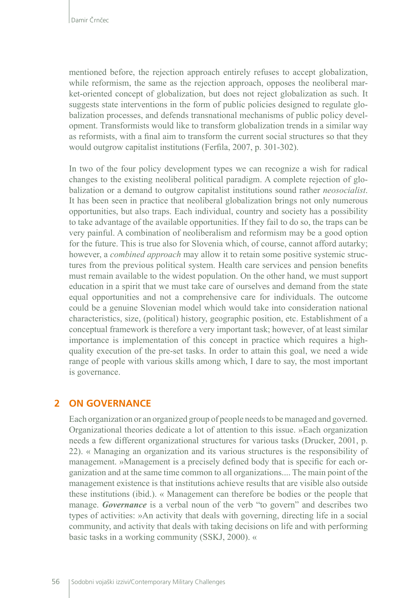mentioned before, the rejection approach entirely refuses to accept globalization, while reformism, the same as the rejection approach, opposes the neoliberal market-oriented concept of globalization, but does not reject globalization as such. It suggests state interventions in the form of public policies designed to regulate globalization processes, and defends transnational mechanisms of public policy development. Transformists would like to transform globalization trends in a similar way as reformists, with a final aim to transform the current social structures so that they would outgrow capitalist institutions (Ferfila, 2007, p. 301-302).

In two of the four policy development types we can recognize a wish for radical changes to the existing neoliberal political paradigm. A complete rejection of globalization or a demand to outgrow capitalist institutions sound rather *neosocialist*. It has been seen in practice that neoliberal globalization brings not only numerous opportunities, but also traps. Each individual, country and society has a possibility to take advantage of the available opportunities. If they fail to do so, the traps can be very painful. A combination of neoliberalism and reformism may be a good option for the future. This is true also for Slovenia which, of course, cannot afford autarky; however, a *combined approach* may allow it to retain some positive systemic structures from the previous political system. Health care services and pension benefits must remain available to the widest population. On the other hand, we must support education in a spirit that we must take care of ourselves and demand from the state equal opportunities and not a comprehensive care for individuals. The outcome could be a genuine Slovenian model which would take into consideration national characteristics, size, (political) history, geographic position, etc. Establishment of a conceptual framework is therefore a very important task; however, of at least similar importance is implementation of this concept in practice which requires a highquality execution of the pre-set tasks. In order to attain this goal, we need a wide range of people with various skills among which, I dare to say, the most important is governance.

### **2 ON GOVERNANCE**

Each organization or an organized group of people needs to be managed and governed. Organizational theories dedicate a lot of attention to this issue. »Each organization needs a few different organizational structures for various tasks (Drucker, 2001, p. 22). « Managing an organization and its various structures is the responsibility of management. »Management is a precisely defined body that is specific for each organization and at the same time common to all organizations.... The main point of the management existence is that institutions achieve results that are visible also outside these institutions (ibid.). « Management can therefore be bodies or the people that manage. *Governance* is a verbal noun of the verb "to govern" and describes two types of activities: »An activity that deals with governing, directing life in a social community, and activity that deals with taking decisions on life and with performing basic tasks in a working community (SSKJ, 2000). «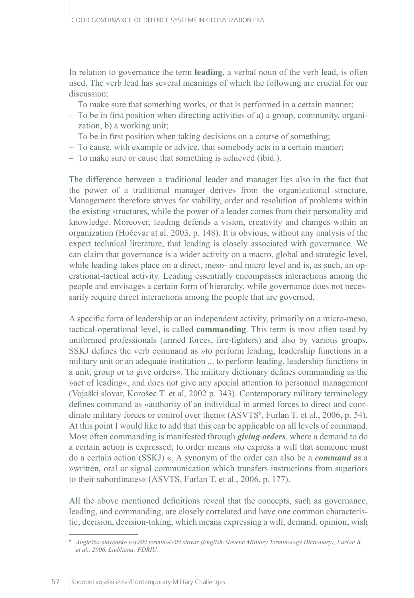In relation to governance the term **leading**, a verbal noun of the verb lead, is often used. The verb lead has several meanings of which the following are crucial for our discussion:

- To make sure that something works, or that is performed in a certain manner;
- To be in first position when directing activities of a) a group, community, organization, b) a working unit;
- To be in first position when taking decisions on a course of something;
- To cause, with example or advice, that somebody acts in a certain manner;
- To make sure or cause that something is achieved (ibid.).

The difference between a traditional leader and manager lies also in the fact that the power of a traditional manager derives from the organizational structure. Management therefore strives for stability, order and resolution of problems within the existing structures, while the power of a leader comes from their personality and knowledge. Moreover, leading defends a vision, creativity and changes within an organization (Hočevar at al. 2003, p. 148). It is obvious, without any analysis of the expert technical literature, that leading is closely associated with governance. We can claim that governance is a wider activity on a macro, global and strategic level, while leading takes place on a direct, meso- and micro level and is, as such, an operational-tactical activity. Leading essentially encompasses interactions among the people and envisages a certain form of hierarchy, while governance does not necessarily require direct interactions among the people that are governed.

A specific form of leadership or an independent activity, primarily on a micro-meso, tactical-operational level, is called **commanding**. This term is most often used by uniformed professionals (armed forces, fire-fighters) and also by various groups. SSKJ defines the verb command as »to perform leading, leadership functions in a military unit or an adequate institution ... to perform leading, leadership functions in a unit, group or to give orders«. The military dictionary defines commanding as the »act of leading«, and does not give any special attention to personnel management (Vojaški slovar, Korošec T. et al, 2002 p. 343). Contemporary military terminology defines command as »authority of an individual in armed forces to direct and coordinate military forces or control over them«  $(ASVTS<sup>6</sup>, Furlan T. et al., 2006, p. 54)$ . At this point I would like to add that this can be applicable on all levels of command. Most often commanding is manifested through *giving orders*, where a demand to do a certain action is expressed; to order means »to express a will that someone must do a certain action (SSKJ) «. A synonym of the order can also be a *command* as a »written, oral or signal communication which transfers instructions from superiors to their subordinates« (ASVTS, Furlan T. et al., 2006, p. 177).

All the above mentioned definitions reveal that the concepts, such as governance, leading, and commanding, are closely correlated and have one common characteristic; decision, decision-taking, which means expressing a will, demand, opinion, wish

*<sup>6</sup> Angleško-slovensko vojaški terminološki slovar (English-Slovene Military Terminology Dictionary), Furlan B., et al., 2006. Ljubljana: PDRIU.*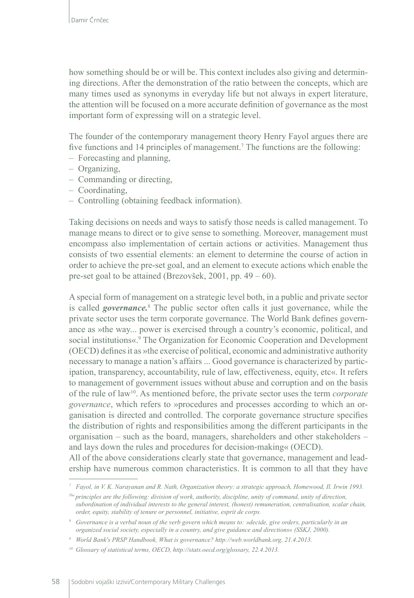how something should be or will be. This context includes also giving and determining directions. After the demonstration of the ratio between the concepts, which are many times used as synonyms in everyday life but not always in expert literature, the attention will be focused on a more accurate definition of governance as the most important form of expressing will on a strategic level.

The founder of the contemporary management theory Henry Fayol argues there are five functions and 14 principles of management.<sup>7</sup> The functions are the following:

- Forecasting and planning,
- Organizing,
- Commanding or directing,
- Coordinating,
- Controlling (obtaining feedback information).

Taking decisions on needs and ways to satisfy those needs is called management. To manage means to direct or to give sense to something. Moreover, management must encompass also implementation of certain actions or activities. Management thus consists of two essential elements: an element to determine the course of action in order to achieve the pre-set goal, and an element to execute actions which enable the pre-set goal to be attained (Brezovšek, 2001, pp. 49 – 60).

A special form of management on a strategic level both, in a public and private sector is called *governance.*<sup>8</sup> The public sector often calls it just governance, while the private sector uses the term corporate governance. The World Bank defines governance as »the way... power is exercised through a country's economic, political, and social institutions«.<sup>9</sup> The Organization for Economic Cooperation and Development (OECD) defines it as »the exercise of political, economic and administrative authority necessary to manage a nation's affairs ... Good governance is characterized by participation, transparency, accountability, rule of law, effectiveness, equity, etc«. It refers to management of government issues without abuse and corruption and on the basis of the rule of law10. As mentioned before, the private sector uses the term *corporate governance*, which refers to »procedures and processes according to which an organisation is directed and controlled. The corporate governance structure specifies the distribution of rights and responsibilities among the different participants in the organisation – such as the board, managers, shareholders and other stakeholders – and lays down the rules and procedures for decision-making« (OECD).

All of the above considerations clearly state that governance, management and leadership have numerous common characteristics. It is common to all that they have

*<sup>7</sup> Fayol, in V. K. Narayanan and R. Nath, Organization theory: a strategic approach, Homewood, Il. Irwin 1993. The principles are the following: division of work, authority, discipline, unity of command, unity of direction,* 

*subordination of individual interests to the general interest, (honest) remuneration, centralisation, scalar chain, order, equity, stability of tenure or personnel, initiative, esprit de corps.* 

*<sup>8</sup> Governance is a verbal noun of the verb govern which means to: »decide, give orders, particularly in an organized social society, especially in a country, and give guidance and directions« (SSKJ, 2000).*

*<sup>9</sup> World Bank's PRSP Handbook, What is governance? http://web.worldbank.org, 21.4.2013.*

*<sup>10</sup> Glossary of statistical terms, OECD, http://stats.oecd.org/glossary, 22.4.2013.*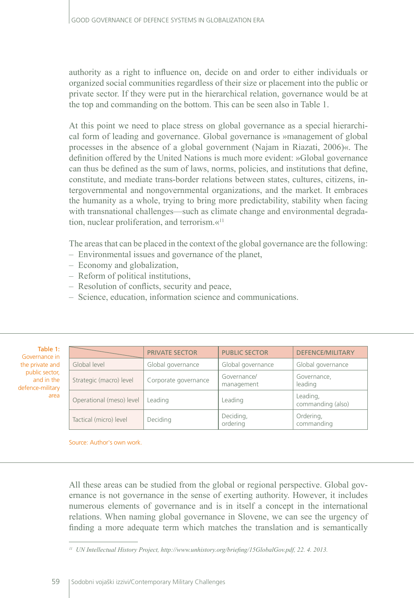authority as a right to influence on, decide on and order to either individuals or organized social communities regardless of their size or placement into the public or private sector. If they were put in the hierarchical relation, governance would be at the top and commanding on the bottom. This can be seen also in Table 1.

At this point we need to place stress on global governance as a special hierarchical form of leading and governance. Global governance is »management of global processes in the absence of a global government (Najam in Riazati, 2006)«. The definition offered by the United Nations is much more evident: »Global governance can thus be defined as the sum of laws, norms, policies, and institutions that define, constitute, and mediate trans-border relations between states, cultures, citizens, intergovernmental and nongovernmental organizations, and the market. It embraces the humanity as a whole, trying to bring more predictability, stability when facing with transnational challenges—such as climate change and environmental degradation, nuclear proliferation, and terrorism.«<sup>11</sup>

The areas that can be placed in the context of the global governance are the following:

- Environmental issues and governance of the planet,
- Economy and globalization,
- Reform of political institutions,
- Resolution of conflicts, security and peace,
- Science, education, information science and communications.

| Table 1:         |
|------------------|
| Governance in    |
| the private and  |
| public sector,   |
| and in the       |
| defence-military |
| area             |
|                  |

|  |                          | <b>PRIVATE SECTOR</b> | <b>PUBLIC SECTOR</b>      | <b>DEFENCE/MILITARY</b>       |  |
|--|--------------------------|-----------------------|---------------------------|-------------------------------|--|
|  | Global level             | Global governance     | Global governance         | Global governance             |  |
|  | Strategic (macro) level  | Corporate governance  | Governance/<br>management | Governance,<br>leading        |  |
|  | Operational (meso) level | Leading               | Leading                   | Leading,<br>commanding (also) |  |
|  | Tactical (micro) level   | Deciding              | Deciding,<br>ordering     | Ordering,<br>commanding       |  |

Source: Author's own work.

All these areas can be studied from the global or regional perspective. Global governance is not governance in the sense of exerting authority. However, it includes numerous elements of governance and is in itself a concept in the international relations. When naming global governance in Slovene, we can see the urgency of finding a more adequate term which matches the translation and is semantically

*<sup>11</sup> UN Intellectual History Project, http://www.unhistory.org/briefing/15GlobalGov.pdf, 22. 4. 2013.*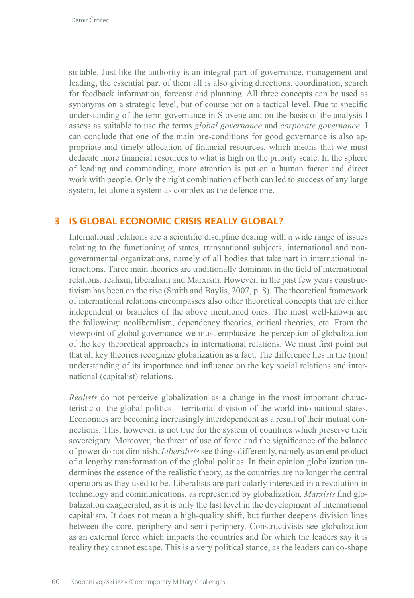suitable. Just like the authority is an integral part of governance, management and leading, the essential part of them all is also giving directions, coordination, search for feedback information, forecast and planning. All three concepts can be used as synonyms on a strategic level, but of course not on a tactical level. Due to specific understanding of the term governance in Slovene and on the basis of the analysis I assess as suitable to use the terms *global governance* and *corporate governance*. I can conclude that one of the main pre-conditions for good governance is also appropriate and timely allocation of financial resources, which means that we must dedicate more financial resources to what is high on the priority scale. In the sphere of leading and commanding, more attention is put on a human factor and direct work with people. Only the right combination of both can led to success of any large system, let alone a system as complex as the defence one.

## **3 IS GLOBAL ECONOMIC CRISIS REALLY GLOBAL?**

International relations are a scientific discipline dealing with a wide range of issues relating to the functioning of states, transnational subjects, international and nongovernmental organizations, namely of all bodies that take part in international interactions. Three main theories are traditionally dominant in the field of international relations: realism, liberalism and Marxism. However, in the past few years constructivism has been on the rise (Smith and Baylis, 2007, p. 8). The theoretical framework of international relations encompasses also other theoretical concepts that are either independent or branches of the above mentioned ones. The most well-known are the following: neoliberalism, dependency theories, critical theories, etc. From the viewpoint of global governance we must emphasize the perception of globalization of the key theoretical approaches in international relations. We must first point out that all key theories recognize globalization as a fact. The difference lies in the (non) understanding of its importance and influence on the key social relations and international (capitalist) relations.

*Realists* do not perceive globalization as a change in the most important characteristic of the global politics – territorial division of the world into national states. Economies are becoming increasingly interdependent as a result of their mutual connections. This, however, is not true for the system of countries which preserve their sovereignty. Moreover, the threat of use of force and the significance of the balance of power do not diminish. *Liberalists* see things differently, namely as an end product of a lengthy transformation of the global politics. In their opinion globalization undermines the essence of the realistic theory, as the countries are no longer the central operators as they used to be. Liberalists are particularly interested in a revolution in technology and communications, as represented by globalization. *Marxists* find globalization exaggerated, as it is only the last level in the development of international capitalism. It does not mean a high-quality shift, but further deepens division lines between the core, periphery and semi-periphery. Constructivists see globalization as an external force which impacts the countries and for which the leaders say it is reality they cannot escape. This is a very political stance, as the leaders can co-shape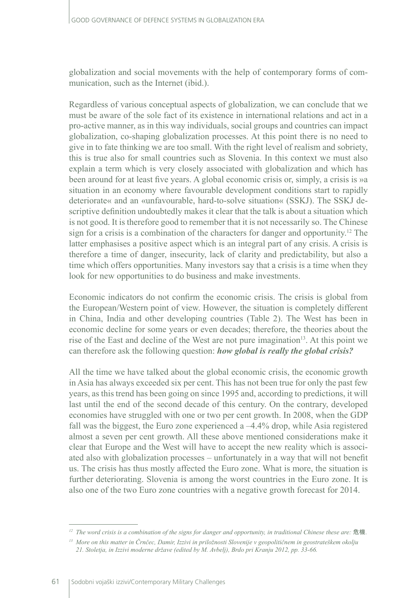globalization and social movements with the help of contemporary forms of communication, such as the Internet (ibid.).

Regardless of various conceptual aspects of globalization, we can conclude that we must be aware of the sole fact of its existence in international relations and act in a pro-active manner, as in this way individuals, social groups and countries can impact globalization, co-shaping globalization processes. At this point there is no need to give in to fate thinking we are too small. With the right level of realism and sobriety, this is true also for small countries such as Slovenia. In this context we must also explain a term which is very closely associated with globalization and which has been around for at least five years. A global economic crisis or, simply, a crisis is »a situation in an economy where favourable development conditions start to rapidly deteriorate« and an «unfavourable, hard-to-solve situation« (SSKJ). The SSKJ descriptive definition undoubtedly makes it clear that the talk is about a situation which is not good. It is therefore good to remember that it is not necessarily so. The Chinese sign for a crisis is a combination of the characters for danger and opportunity.12 The latter emphasises a positive aspect which is an integral part of any crisis. A crisis is therefore a time of danger, insecurity, lack of clarity and predictability, but also a time which offers opportunities. Many investors say that a crisis is a time when they look for new opportunities to do business and make investments.

Economic indicators do not confirm the economic crisis. The crisis is global from the European/Western point of view. However, the situation is completely different in China, India and other developing countries (Table 2). The West has been in economic decline for some years or even decades; therefore, the theories about the rise of the East and decline of the West are not pure imagination<sup>13</sup>. At this point we can therefore ask the following question: *how global is really the global crisis?*

All the time we have talked about the global economic crisis, the economic growth in Asia has always exceeded six per cent. This has not been true for only the past few years, as this trend has been going on since 1995 and, according to predictions, it will last until the end of the second decade of this century. On the contrary, developed economies have struggled with one or two per cent growth. In 2008, when the GDP fall was the biggest, the Euro zone experienced a –4.4% drop, while Asia registered almost a seven per cent growth. All these above mentioned considerations make it clear that Europe and the West will have to accept the new reality which is associated also with globalization processes – unfortunately in a way that will not benefit us. The crisis has thus mostly affected the Euro zone. What is more, the situation is further deteriorating. Slovenia is among the worst countries in the Euro zone. It is also one of the two Euro zone countries with a negative growth forecast for 2014.

 $12$  The word crisis is a combination of the signs for danger and opportunity, in traditional Chinese these are: 危機

*<sup>13</sup> More on this matter in Črnčec, Damir, Izzivi in priložnosti Slovenije v geopolitičnem in geostrateškem okolju 21. Stoletja, in Izzivi moderne države (edited by M. Avbelj), Brdo pri Kranju 2012, pp. 33-66.*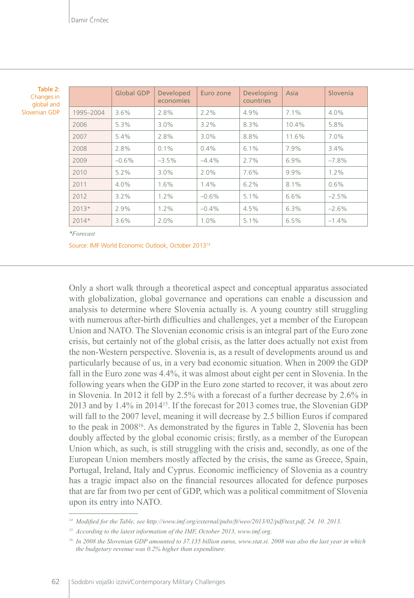| Table 2:      |
|---------------|
| Changes in    |
| global and    |
| Slovenian GDP |

|           | <b>Global GDP</b> | <b>Developed</b><br>economies | Euro zone | Developing<br>countries | Asia    | Slovenia |
|-----------|-------------------|-------------------------------|-----------|-------------------------|---------|----------|
| 1995-2004 | 3.6%              | 2.8%                          | $2.2\%$   | 4.9%                    | $7.1\%$ | $4.0\%$  |
| 2006      | 5.3%              | $3.0\%$                       | 3.2%      | 8.3%                    | 10.4%   | 5.8%     |
| 2007      | 5.4%              | 2.8%                          | 3.0%      | 8.8%                    | 11.6%   | 7.0%     |
| 2008      | 2.8%              | 0.1%                          | 0.4%      | 6.1%                    | 7.9%    | 3.4%     |
| 2009      | $-0.6%$           | $-3.5%$                       | $-4.4\%$  | 2.7%                    | 6.9%    | $-7.8%$  |
| 2010      | $5.2\%$           | $3.0\%$                       | $2.0\%$   | 7.6%                    | 9.9%    | 1.2%     |
| 2011      | $4.0\%$           | 1.6%                          | 1.4%      | 6.2%                    | 8.1%    | 0.6%     |
| 2012      | 3.2%              | $1.2\%$                       | $-0.6%$   | 5.1%                    | 6.6%    | $-2.5%$  |
| $2013*$   | 2.9%              | $1.2\%$                       | $-0.4%$   | 4.5%                    | 6.3%    | $-2.6%$  |
| $2014*$   | 3.6%              | 2.0%                          | 1.0%      | 5.1%                    | 6.5%    | $-1.4%$  |

*\*Forecast*

Source: IMF World Economic Outlook, October 201314

Only a short walk through a theoretical aspect and conceptual apparatus associated with globalization, global governance and operations can enable a discussion and analysis to determine where Slovenia actually is. A young country still struggling with numerous after-birth difficulties and challenges, yet a member of the European Union and NATO. The Slovenian economic crisis is an integral part of the Euro zone crisis, but certainly not of the global crisis, as the latter does actually not exist from the non-Western perspective. Slovenia is, as a result of developments around us and particularly because of us, in a very bad economic situation. When in 2009 the GDP fall in the Euro zone was 4.4%, it was almost about eight per cent in Slovenia. In the following years when the GDP in the Euro zone started to recover, it was about zero in Slovenia. In 2012 it fell by 2.5% with a forecast of a further decrease by 2.6% in 2013 and by 1.4% in 2014<sup>15</sup>. If the forecast for 2013 comes true, the Slovenian GDP will fall to the 2007 level, meaning it will decrease by 2.5 billion Euros if compared to the peak in 200816. As demonstrated by the figures in Table 2, Slovenia has been doubly affected by the global economic crisis; firstly, as a member of the European Union which, as such, is still struggling with the crisis and, secondly, as one of the European Union members mostly affected by the crisis, the same as Greece, Spain, Portugal, Ireland, Italy and Cyprus. Economic inefficiency of Slovenia as a country has a tragic impact also on the financial resources allocated for defence purposes that are far from two per cent of GDP, which was a political commitment of Slovenia upon its entry into NATO.

*<sup>14</sup> Modified for the Table, see http://www.imf.org/external/pubs/ft/weo/2013/02/pdf/text.pdf, 24. 10. 2013.* 

*<sup>15</sup> According to the latest information of the IMF, October 2013, [www.imf.org.](http://www.imf.org)*

*<sup>16</sup> In 2008 the Slovenian GDP amounted to 37.135 billion euros, [www.stat.si](http://www.stat.si). 2008 was also the last year in which the budgetary revenue was 0.2% higher than expenditure.*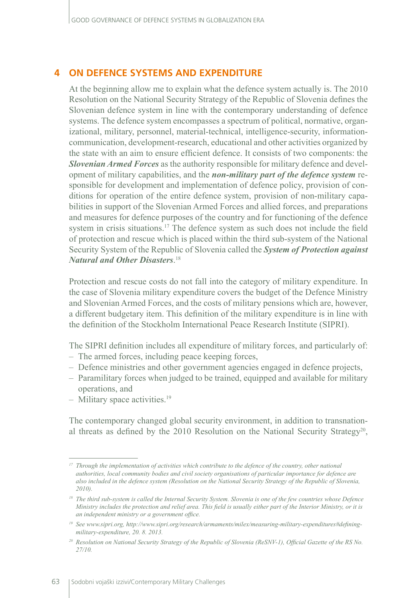### **4 ON DEFENCE SYSTEMS AND EXPENDITURE**

At the beginning allow me to explain what the defence system actually is. The 2010 Resolution on the National Security Strategy of the Republic of Slovenia defines the Slovenian defence system in line with the contemporary understanding of defence systems. The defence system encompasses a spectrum of political, normative, organizational, military, personnel, material-technical, intelligence-security, informationcommunication, development-research, educational and other activities organized by the state with an aim to ensure efficient defence. It consists of two components: the *Slovenian Armed Forces* as the authority responsible for military defence and development of military capabilities, and the *non-military part of the defence system* responsible for development and implementation of defence policy, provision of conditions for operation of the entire defence system, provision of non-military capabilities in support of the Slovenian Armed Forces and allied forces, and preparations and measures for defence purposes of the country and for functioning of the defence system in crisis situations.<sup>17</sup> The defence system as such does not include the field of protection and rescue which is placed within the third sub-system of the National Security System of the Republic of Slovenia called the *System of Protection against Natural and Other Disasters*. 18

Protection and rescue costs do not fall into the category of military expenditure. In the case of Slovenia military expenditure covers the budget of the Defence Ministry and Slovenian Armed Forces, and the costs of military pensions which are, however, a different budgetary item. This definition of the military expenditure is in line with the definition of the Stockholm International Peace Research Institute (SIPRI).

The SIPRI definition includes all expenditure of military forces, and particularly of:

- The armed forces, including peace keeping forces,
- Defence ministries and other government agencies engaged in defence projects,
- Paramilitary forces when judged to be trained, equipped and available for military operations, and
- $-$  Military space activities.<sup>19</sup>

The contemporary changed global security environment, in addition to transnational threats as defined by the 2010 Resolution on the National Security Strategy<sup>20</sup>,

*<sup>17</sup> Through the implementation of activities which contribute to the defence of the country, other national authorities, local community bodies and civil society organisations of particular importance for defence are also included in the defence system (Resolution on the National Security Strategy of the Republic of Slovenia, 2010).*

<sup>&</sup>lt;sup>18</sup> The third sub-system is called the Internal Security System. Slovenia is one of the few countries whose Defence *Ministry includes the protection and relief area. This field is usually either part of the Interior Ministry, or it is an independent ministry or a government office.*

*<sup>19</sup> See www.sipri.org, http://www.sipri.org/research/armaments/milex/measuring-military-expenditures#definingmilitary-expenditure, 20. 8. 2013.*

*<sup>20</sup> Resolution on National Security Strategy of the Republic of Slovenia (ReSNV-1), Official Gazette of the RS No. 27/10.*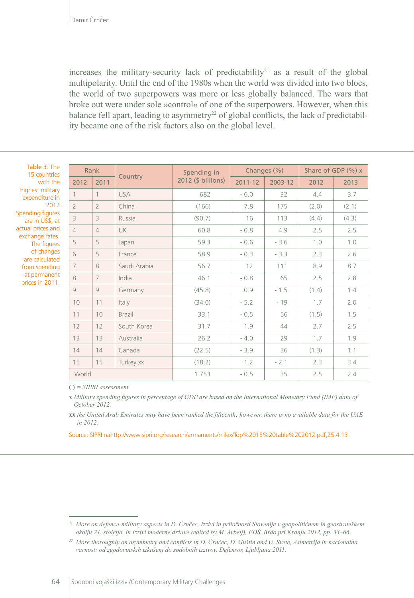increases the military-security lack of predictability<sup>21</sup> as a result of the global multipolarity. Until the end of the 1980s when the world was divided into two blocs, the world of two superpowers was more or less globally balanced. The wars that broke out were under sole »control« of one of the superpowers. However, when this balance fell apart, leading to asymmetry<sup>22</sup> of global conflicts, the lack of predictability became one of the risk factors also on the global level.

Table 3: The 15 countries with the highest military expenditure in 2012 Spending figures are in US\$, at actual prices and exchange rates. The figures of changes are calculated from spending at permanent prices in 2011.

| Rank           |                |               | Spending in        | Changes (%) |         | Share of GDP (%) x |       |
|----------------|----------------|---------------|--------------------|-------------|---------|--------------------|-------|
| 2012           | 2011           | Country       | 2012 (\$ billions) | 2011-12     | 2003-12 | 2012               | 2013  |
|                | $\mathbf{1}$   | <b>USA</b>    | 682                | $-6.0$      | 32      | 4.4                | 3.7   |
| $\overline{2}$ | $\overline{2}$ | China         | (166)              | 7.8         | 175     | (2.0)              | (2.1) |
| 3              | 3              | Russia        | (90.7)             | 16          | 113     | (4.4)              | (4.3) |
| $\overline{4}$ | $\overline{4}$ | <b>UK</b>     | 60.8               | $-0.8$      | 4.9     | 2.5                | 2.5   |
| 5              | 5              | Japan         | 59.3               | $-0.6$      | $-3.6$  | 1.0                | 1.0   |
| 6              | 5              | France        | 58.9               | $-0.3$      | $-3.3$  | 2.3                | 2.6   |
| $\overline{7}$ | 8              | Saudi Arabia  | 56.7               | 12          | 111     | 8.9                | 8.7   |
| 8              | $\overline{7}$ | India         | 46.1               | $-0.8$      | 65      | 2.5                | 2.8   |
| 9              | 9              | Germany       | (45.8)             | 0.9         | $-1.5$  | (1.4)              | 1.4   |
| 10             | 11             | Italy         | (34.0)             | $-5.2$      | $-19$   | 1.7                | 2.0   |
| 11             | 10             | <b>Brazil</b> | 33.1               | $-0.5$      | 56      | (1.5)              | 1.5   |
| 12             | 12             | South Korea   | 31.7               | 1.9         | 44      | 2.7                | 2.5   |
| 13             | 13             | Australia     | 26.2               | $-4.0$      | 29      | 1.7                | 1.9   |
| 14             | 14             | Canada        | (22.5)             | $-3.9$      | 36      | (1.3)              | 1.1   |
| 15             | 15             | Turkey xx     | (18.2)             | 1.2         | $-2.1$  | 2.3                | 3.4   |
| World          |                |               | 1753               | $-0.5$      | 35      | 2.5                | 2.4   |

**( )** *= SIPRI assessment*

**x** *Military spending figures in percentage of GDP are based on the International Monetary Fund (IMF) data of October 2012.*

**xx** *the United Arab Emirates may have been ranked the fifteenth; however, there is no available data for the UAE in 2012.*

Source: SIPRI nahttp://www.sipri.org/research/armaments/milex/Top%2015%20table%202012.pdf,25.4.13

*<sup>21</sup> More on defence-military aspects in D. Črnčec, Izzivi in priložnosti Slovenije v geopolitičnem in geostrateškem okolju 21. stoletja, in Izzivi moderne države (edited by M. Avbelj), FDŠ, Brdo pri Kranju 2012, pp. 33–66.*

*<sup>22</sup> More thoroughly on asymmetry and conflicts in D. Črnčec, D. Guštin and U. Svete, Asimetrija in nacionalna varnost: od zgodovinskih izkušenj do sodobnih izzivov, Defensor, Ljubljana 2011.*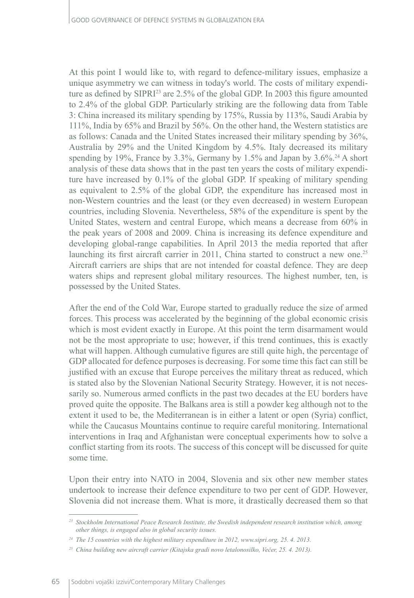At this point I would like to, with regard to defence-military issues, emphasize a unique asymmetry we can witness in today's world. The costs of military expenditure as defined by SIPRI<sup>23</sup> are 2.5% of the global GDP. In 2003 this figure amounted to 2.4% of the global GDP. Particularly striking are the following data from Table 3: China increased its military spending by 175%, Russia by 113%, Saudi Arabia by 111%, India by 65% and Brazil by 56%. On the other hand, the Western statistics are as follows: Canada and the United States increased their military spending by 36%, Australia by 29% and the United Kingdom by 4.5%. Italy decreased its military spending by 19%, France by 3.3%, Germany by 1.5% and Japan by  $3.6\%$ <sup>24</sup> A short analysis of these data shows that in the past ten years the costs of military expenditure have increased by 0.1% of the global GDP. If speaking of military spending as equivalent to 2.5% of the global GDP, the expenditure has increased most in non-Western countries and the least (or they even decreased) in western European countries, including Slovenia. Nevertheless, 58% of the expenditure is spent by the United States, western and central Europe, which means a decrease from 60% in the peak years of 2008 and 2009. China is increasing its defence expenditure and developing global-range capabilities. In April 2013 the media reported that after launching its first aircraft carrier in 2011, China started to construct a new one.<sup>25</sup> Aircraft carriers are ships that are not intended for coastal defence. They are deep waters ships and represent global military resources. The highest number, ten, is possessed by the United States.

After the end of the Cold War, Europe started to gradually reduce the size of armed forces. This process was accelerated by the beginning of the global economic crisis which is most evident exactly in Europe. At this point the term disarmament would not be the most appropriate to use; however, if this trend continues, this is exactly what will happen. Although cumulative figures are still quite high, the percentage of GDP allocated for defence purposes is decreasing. For some time this fact can still be justified with an excuse that Europe perceives the military threat as reduced, which is stated also by the Slovenian National Security Strategy. However, it is not necessarily so. Numerous armed conflicts in the past two decades at the EU borders have proved quite the opposite. The Balkans area is still a powder keg although not to the extent it used to be, the Mediterranean is in either a latent or open (Syria) conflict, while the Caucasus Mountains continue to require careful monitoring. International interventions in Iraq and Afghanistan were conceptual experiments how to solve a conflict starting from its roots. The success of this concept will be discussed for quite some time.

Upon their entry into NATO in 2004, Slovenia and six other new member states undertook to increase their defence expenditure to two per cent of GDP. However, Slovenia did not increase them. What is more, it drastically decreased them so that

*<sup>23</sup> Stockholm International Peace Research Institute, the Swedish independent research institution which, among other things, is engaged also in global security issues.* 

*<sup>24</sup> The 15 countries with the highest military expenditure in 2012, www.sipri.org, 25. 4. 2013.*

*<sup>25</sup> China building new aircraft carrier (Kitajska gradi novo letalonosilko, Večer, 25. 4. 2013).*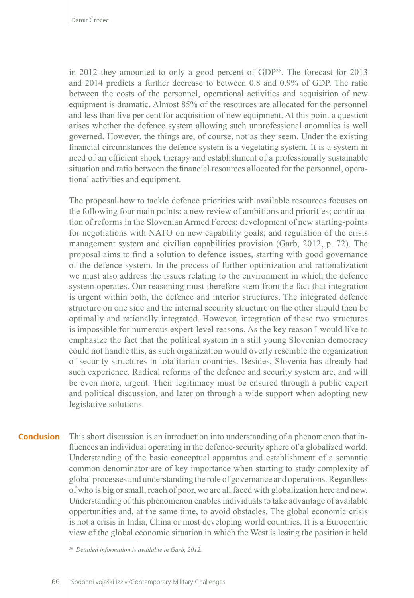in 2012 they amounted to only a good percent of GDP<sup>26</sup>. The forecast for 2013 and 2014 predicts a further decrease to between 0.8 and 0.9% of GDP. The ratio between the costs of the personnel, operational activities and acquisition of new equipment is dramatic. Almost 85% of the resources are allocated for the personnel and less than five per cent for acquisition of new equipment. At this point a question arises whether the defence system allowing such unprofessional anomalies is well governed. However, the things are, of course, not as they seem. Under the existing financial circumstances the defence system is a vegetating system. It is a system in need of an efficient shock therapy and establishment of a professionally sustainable situation and ratio between the financial resources allocated for the personnel, operational activities and equipment.

The proposal how to tackle defence priorities with available resources focuses on the following four main points: a new review of ambitions and priorities; continuation of reforms in the Slovenian Armed Forces; development of new starting-points for negotiations with NATO on new capability goals; and regulation of the crisis management system and civilian capabilities provision (Garb, 2012, p. 72). The proposal aims to find a solution to defence issues, starting with good governance of the defence system. In the process of further optimization and rationalization we must also address the issues relating to the environment in which the defence system operates. Our reasoning must therefore stem from the fact that integration is urgent within both, the defence and interior structures. The integrated defence structure on one side and the internal security structure on the other should then be optimally and rationally integrated. However, integration of these two structures is impossible for numerous expert-level reasons. As the key reason I would like to emphasize the fact that the political system in a still young Slovenian democracy could not handle this, as such organization would overly resemble the organization of security structures in totalitarian countries. Besides, Slovenia has already had such experience. Radical reforms of the defence and security system are, and will be even more, urgent. Their legitimacy must be ensured through a public expert and political discussion, and later on through a wide support when adopting new legislative solutions.

This short discussion is an introduction into understanding of a phenomenon that influences an individual operating in the defence-security sphere of a globalized world. Understanding of the basic conceptual apparatus and establishment of a semantic common denominator are of key importance when starting to study complexity of global processes and understanding the role of governance and operations. Regardless of who is big or small, reach of poor, we are all faced with globalization here and now. Understanding of this phenomenon enables individuals to take advantage of available opportunities and, at the same time, to avoid obstacles. The global economic crisis is not a crisis in India, China or most developing world countries. It is a Eurocentric view of the global economic situation in which the West is losing the position it held **Conclusion**

*<sup>26</sup> Detailed information is available in Garb, 2012.*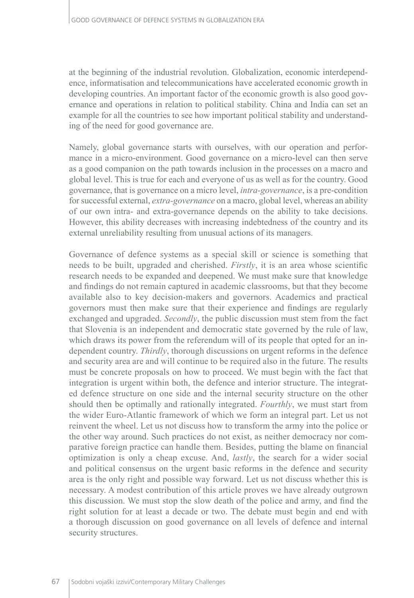at the beginning of the industrial revolution. Globalization, economic interdependence, informatisation and telecommunications have accelerated economic growth in developing countries. An important factor of the economic growth is also good governance and operations in relation to political stability. China and India can set an example for all the countries to see how important political stability and understanding of the need for good governance are.

Namely, global governance starts with ourselves, with our operation and performance in a micro-environment. Good governance on a micro-level can then serve as a good companion on the path towards inclusion in the processes on a macro and global level. This is true for each and everyone of us as well as for the country. Good governance, that is governance on a micro level, *intra-governance*, is a pre-condition for successful external, *extra-governance* on a macro, global level, whereas an ability of our own intra- and extra-governance depends on the ability to take decisions. However, this ability decreases with increasing indebtedness of the country and its external unreliability resulting from unusual actions of its managers.

Governance of defence systems as a special skill or science is something that needs to be built, upgraded and cherished. *Firstly*, it is an area whose scientific research needs to be expanded and deepened. We must make sure that knowledge and findings do not remain captured in academic classrooms, but that they become available also to key decision-makers and governors. Academics and practical governors must then make sure that their experience and findings are regularly exchanged and upgraded. *Secondly*, the public discussion must stem from the fact that Slovenia is an independent and democratic state governed by the rule of law, which draws its power from the referendum will of its people that opted for an independent country. *Thirdly*, thorough discussions on urgent reforms in the defence and security area are and will continue to be required also in the future. The results must be concrete proposals on how to proceed. We must begin with the fact that integration is urgent within both, the defence and interior structure. The integrated defence structure on one side and the internal security structure on the other should then be optimally and rationally integrated. *Fourthly*, we must start from the wider Euro-Atlantic framework of which we form an integral part. Let us not reinvent the wheel. Let us not discuss how to transform the army into the police or the other way around. Such practices do not exist, as neither democracy nor comparative foreign practice can handle them. Besides, putting the blame on financial optimization is only a cheap excuse. And, *lastly*, the search for a wider social and political consensus on the urgent basic reforms in the defence and security area is the only right and possible way forward. Let us not discuss whether this is necessary. A modest contribution of this article proves we have already outgrown this discussion. We must stop the slow death of the police and army, and find the right solution for at least a decade or two. The debate must begin and end with a thorough discussion on good governance on all levels of defence and internal security structures.